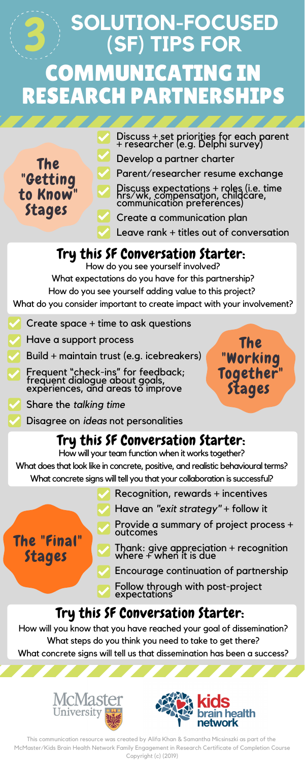The

"Getting

to Know"

Stages

# **SOLUTION-FOCUSED (SF) TIPS FOR** COMMUNICATING IN RESEARCH PARTNERSHIPS 3

### Try this SF Conversation Starter:



Develop a partner charter

Parent/researcher resume exchange

Discuss expectations + roles (i.e. time hrs/wk, compensation, childcare, communication preferences)

Create a communication plan

Leave rank + titles out of conversation

The "Working Together" Stages

The "Final" Stages

## Try this SF Conversation Starter:

How will your team function when it works together?

What does that look like in concrete, positive, and realistic behavioural terms? What concrete signs will tell you that your collaboration is successful?

#### Try this SF Conversation Starter:

How do you see yourself involved?

What expectations do you have for this partnership?

How do you see yourself adding value to this project?

What do you consider important to create impact with your involvement?

- Create space + time to ask questions
- Have a support process

- Build + maintain trust (e.g. icebreakers)
- Frequent "check-ins" for feedback; frequent dialogue about goals, experiences, and areas to improve

- Share the *talking time*
	- Disagree on *ideas* not personalities

Recognition, rewards + incentives

Have an *"exit strategy"* + follow it

Provide a summary of project process + outcomes

Thank: give appreciation + recognition where + when it is due

Encourage continuation of partnership

Follow through with post-project expectations

How will you know that you have reached your goal of dissemination? What steps do you think you need to take to get there? What concrete signs will tell us that dissemination has been a success?



This communication resource was created by Alifa Khan & Samantha Micsinszki as part of the McMaster/Kids Brain Health Network Family Engagement in Research Certificate of Completion Course Copyright (c) (2019)